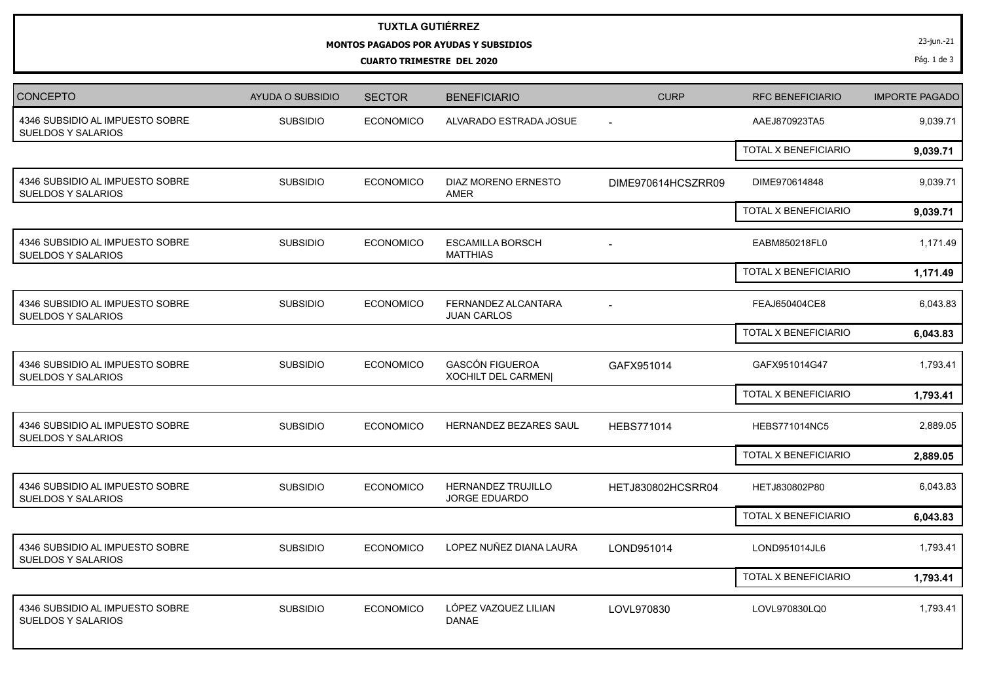## **TUXTLA GUTIÉRREZ**

## **MONTOS PAGADOS POR AYUDAS Y SUBSIDIOS**

**CUARTO TRIMESTRE DEL 2020**

23-jun.-21

Pág. 1 de 3

| CONCEPTO                                                     | <b>AYUDA O SUBSIDIO</b> | <b>SECTOR</b>    | <b>BENEFICIARIO</b>                                  | <b>CURP</b>        | <b>RFC BENEFICIARIO</b>     | <b>IMPORTE PAGADO</b> |
|--------------------------------------------------------------|-------------------------|------------------|------------------------------------------------------|--------------------|-----------------------------|-----------------------|
| 4346 SUBSIDIO AL IMPUESTO SOBRE<br><b>SUELDOS Y SALARIOS</b> | <b>SUBSIDIO</b>         | <b>ECONOMICO</b> | ALVARADO ESTRADA JOSUE                               | $\sim$             | AAEJ870923TA5               | 9,039.71              |
|                                                              |                         |                  |                                                      |                    | TOTAL X BENEFICIARIO        | 9,039.71              |
| 4346 SUBSIDIO AL IMPUESTO SOBRE<br><b>SUELDOS Y SALARIOS</b> | <b>SUBSIDIO</b>         | <b>ECONOMICO</b> | DIAZ MORENO ERNESTO<br>AMER                          | DIME970614HCSZRR09 | DIME970614848               | 9,039.71              |
|                                                              |                         |                  |                                                      |                    | TOTAL X BENEFICIARIO        | 9,039.71              |
| 4346 SUBSIDIO AL IMPUESTO SOBRE<br>SUELDOS Y SALARIOS        | <b>SUBSIDIO</b>         | <b>ECONOMICO</b> | <b>ESCAMILLA BORSCH</b><br><b>MATTHIAS</b>           |                    | EABM850218FL0               | 1,171.49              |
|                                                              |                         |                  |                                                      |                    | TOTAL X BENEFICIARIO        | 1,171.49              |
| 4346 SUBSIDIO AL IMPUESTO SOBRE<br>SUELDOS Y SALARIOS        | <b>SUBSIDIO</b>         | <b>ECONOMICO</b> | FERNANDEZ ALCANTARA<br><b>JUAN CARLOS</b>            | $\sim$             | FEAJ650404CE8               | 6,043.83              |
|                                                              |                         |                  |                                                      |                    | TOTAL X BENEFICIARIO        | 6,043.83              |
| 4346 SUBSIDIO AL IMPUESTO SOBRE<br>SUELDOS Y SALARIOS        | <b>SUBSIDIO</b>         | <b>ECONOMICO</b> | <b>GASCÓN FIGUEROA</b><br><b>XOCHILT DEL CARMEN </b> | GAFX951014         | GAFX951014G47               | 1,793.41              |
|                                                              |                         |                  |                                                      |                    | <b>TOTAL X BENEFICIARIO</b> | 1,793.41              |
| 4346 SUBSIDIO AL IMPUESTO SOBRE<br>SUELDOS Y SALARIOS        | <b>SUBSIDIO</b>         | <b>ECONOMICO</b> | <b>HERNANDEZ BEZARES SAUL</b>                        | <b>HEBS771014</b>  | <b>HEBS771014NC5</b>        | 2,889.05              |
|                                                              |                         |                  |                                                      |                    | TOTAL X BENEFICIARIO        | 2,889.05              |
| 4346 SUBSIDIO AL IMPUESTO SOBRE<br>SUELDOS Y SALARIOS        | <b>SUBSIDIO</b>         | <b>ECONOMICO</b> | <b>HERNANDEZ TRUJILLO</b><br><b>JORGE EDUARDO</b>    | HETJ830802HCSRR04  | HETJ830802P80               | 6,043.83              |
|                                                              |                         |                  |                                                      |                    | <b>TOTAL X BENEFICIARIO</b> | 6,043.83              |
| 4346 SUBSIDIO AL IMPUESTO SOBRE<br><b>SUELDOS Y SALARIOS</b> | <b>SUBSIDIO</b>         | <b>ECONOMICO</b> | LOPEZ NUÑEZ DIANA LAURA                              | LOND951014         | LOND951014JL6               | 1,793.41              |
|                                                              |                         |                  |                                                      |                    | TOTAL X BENEFICIARIO        | 1,793.41              |
| 4346 SUBSIDIO AL IMPUESTO SOBRE<br><b>SUELDOS Y SALARIOS</b> | <b>SUBSIDIO</b>         | <b>ECONOMICO</b> | LÓPEZ VAZQUEZ LILIAN<br><b>DANAE</b>                 | LOVL970830         | LOVL970830LQ0               | 1,793.41              |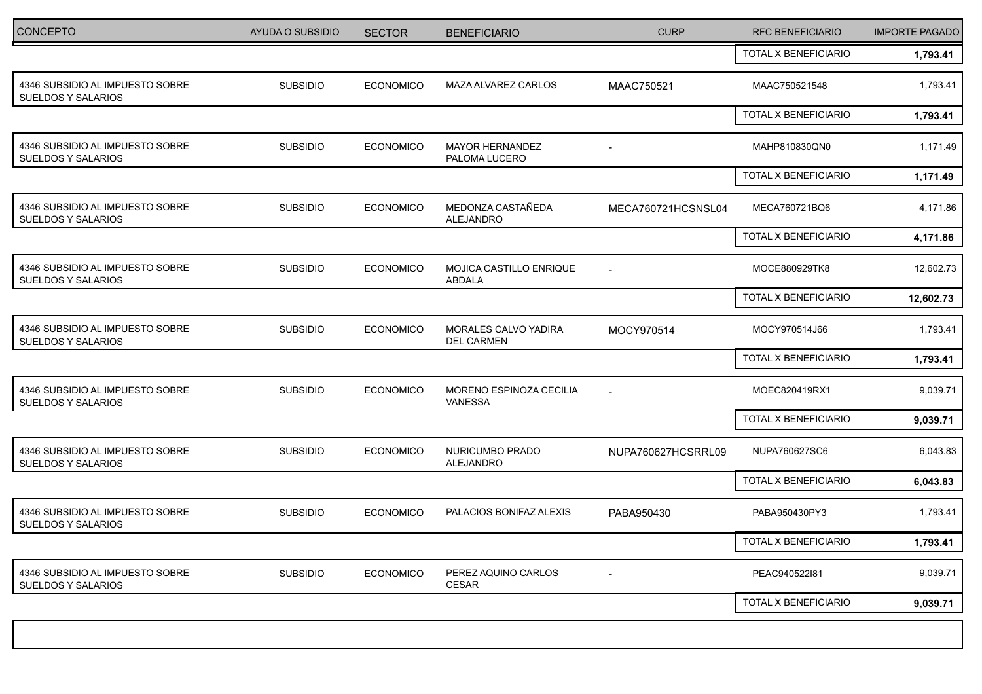| <b>CONCEPTO</b>                                              | AYUDA O SUBSIDIO | <b>SECTOR</b>    | <b>BENEFICIARIO</b>                       | <b>CURP</b>              | RFC BENEFICIARIO     | <b>IMPORTE PAGADO</b> |
|--------------------------------------------------------------|------------------|------------------|-------------------------------------------|--------------------------|----------------------|-----------------------|
|                                                              |                  |                  |                                           |                          | TOTAL X BENEFICIARIO | 1,793.41              |
| 4346 SUBSIDIO AL IMPUESTO SOBRE<br><b>SUELDOS Y SALARIOS</b> | <b>SUBSIDIO</b>  | <b>ECONOMICO</b> | MAZA ALVAREZ CARLOS                       | MAAC750521               | MAAC750521548        | 1,793.41              |
|                                                              |                  |                  |                                           |                          | TOTAL X BENEFICIARIO | 1,793.41              |
| 4346 SUBSIDIO AL IMPUESTO SOBRE<br>SUELDOS Y SALARIOS        | <b>SUBSIDIO</b>  | <b>ECONOMICO</b> | <b>MAYOR HERNANDEZ</b><br>PALOMA LUCERO   |                          | MAHP810830QN0        | 1,171.49              |
|                                                              |                  |                  |                                           |                          | TOTAL X BENEFICIARIO | 1,171.49              |
| 4346 SUBSIDIO AL IMPUESTO SOBRE<br><b>SUELDOS Y SALARIOS</b> | <b>SUBSIDIO</b>  | <b>ECONOMICO</b> | MEDONZA CASTAÑEDA<br>ALEJANDRO            | MECA760721HCSNSL04       | MECA760721BQ6        | 4,171.86              |
|                                                              |                  |                  |                                           |                          | TOTAL X BENEFICIARIO | 4,171.86              |
| 4346 SUBSIDIO AL IMPUESTO SOBRE<br>SUELDOS Y SALARIOS        | <b>SUBSIDIO</b>  | <b>ECONOMICO</b> | MOJICA CASTILLO ENRIQUE<br><b>ABDALA</b>  | $\overline{\phantom{a}}$ | MOCE880929TK8        | 12,602.73             |
|                                                              |                  |                  |                                           |                          | TOTAL X BENEFICIARIO | 12,602.73             |
| 4346 SUBSIDIO AL IMPUESTO SOBRE<br><b>SUELDOS Y SALARIOS</b> | <b>SUBSIDIO</b>  | <b>ECONOMICO</b> | MORALES CALVO YADIRA<br><b>DEL CARMEN</b> | MOCY970514               | MOCY970514J66        | 1,793.41              |
|                                                              |                  |                  |                                           |                          | TOTAL X BENEFICIARIO | 1,793.41              |
| 4346 SUBSIDIO AL IMPUESTO SOBRE<br>SUELDOS Y SALARIOS        | <b>SUBSIDIO</b>  | <b>ECONOMICO</b> | MORENO ESPINOZA CECILIA<br>VANESSA        | $\blacksquare$           | MOEC820419RX1        | 9,039.71              |
|                                                              |                  |                  |                                           |                          | TOTAL X BENEFICIARIO | 9,039.71              |
| 4346 SUBSIDIO AL IMPUESTO SOBRE<br><b>SUELDOS Y SALARIOS</b> | <b>SUBSIDIO</b>  | <b>ECONOMICO</b> | NURICUMBO PRADO<br>ALEJANDRO              | NUPA760627HCSRRL09       | NUPA760627SC6        | 6,043.83              |
|                                                              |                  |                  |                                           |                          | TOTAL X BENEFICIARIO | 6,043.83              |
| 4346 SUBSIDIO AL IMPUESTO SOBRE<br><b>SUELDOS Y SALARIOS</b> | <b>SUBSIDIO</b>  | <b>ECONOMICO</b> | PALACIOS BONIFAZ ALEXIS                   | PABA950430               | PABA950430PY3        | 1,793.41              |
|                                                              |                  |                  |                                           |                          | TOTAL X BENEFICIARIO | 1,793.41              |
| 4346 SUBSIDIO AL IMPUESTO SOBRE<br>SUELDOS Y SALARIOS        | <b>SUBSIDIO</b>  | <b>ECONOMICO</b> | PEREZ AQUINO CARLOS<br><b>CESAR</b>       |                          | PEAC940522l81        | 9,039.71              |
|                                                              |                  |                  |                                           |                          | TOTAL X BENEFICIARIO | 9,039.71              |